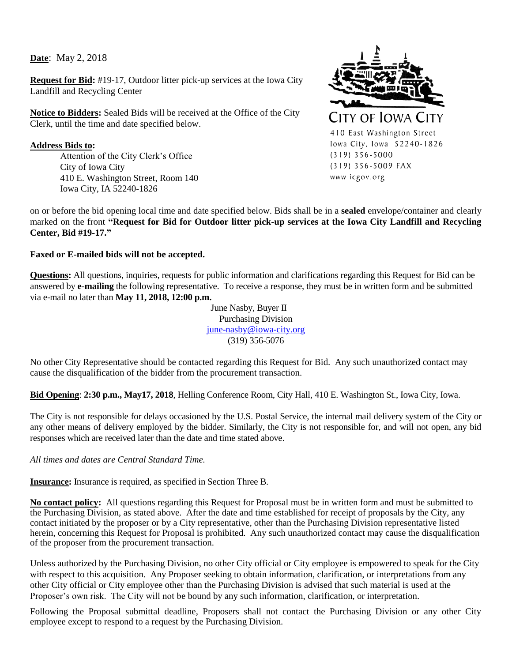**Date**: May 2, 2018

**Request for Bid:** #19-17, Outdoor litter pick-up services at the Iowa City Landfill and Recycling Center

**Notice to Bidders:** Sealed Bids will be received at the Office of the City Clerk, until the time and date specified below.

**Address Bids to:** Attention of the City Clerk's Office City of Iowa City 410 E. Washington Street, Room 140 Iowa City, IA 52240-1826



on or before the bid opening local time and date specified below. Bids shall be in a **sealed** envelope/container and clearly marked on the front **"Request for Bid for Outdoor litter pick-up services at the Iowa City Landfill and Recycling Center, Bid #19-17."** 

#### **Faxed or E-mailed bids will not be accepted.**

**Questions:** All questions, inquiries, requests for public information and clarifications regarding this Request for Bid can be answered by **e-mailing** the following representative. To receive a response, they must be in written form and be submitted via e-mail no later than **May 11, 2018, 12:00 p.m.**

> June Nasby, Buyer II Purchasing Division [june-nasby@iowa-city.org](mailto:june-nasby@iowa-city.org) (319) 356-5076

No other City Representative should be contacted regarding this Request for Bid. Any such unauthorized contact may cause the disqualification of the bidder from the procurement transaction.

**Bid Opening**: **2:30 p.m., May17, 2018**, Helling Conference Room, City Hall, 410 E. Washington St., Iowa City, Iowa.

The City is not responsible for delays occasioned by the U.S. Postal Service, the internal mail delivery system of the City or any other means of delivery employed by the bidder. Similarly, the City is not responsible for, and will not open, any bid responses which are received later than the date and time stated above.

*All times and dates are Central Standard Time.*

**Insurance:** Insurance is required, as specified in Section Three B.

**No contact policy:** All questions regarding this Request for Proposal must be in written form and must be submitted to the Purchasing Division, as stated above. After the date and time established for receipt of proposals by the City, any contact initiated by the proposer or by a City representative, other than the Purchasing Division representative listed herein, concerning this Request for Proposal is prohibited. Any such unauthorized contact may cause the disqualification of the proposer from the procurement transaction.

Unless authorized by the Purchasing Division, no other City official or City employee is empowered to speak for the City with respect to this acquisition. Any Proposer seeking to obtain information, clarification, or interpretations from any other City official or City employee other than the Purchasing Division is advised that such material is used at the Proposer's own risk. The City will not be bound by any such information, clarification, or interpretation.

Following the Proposal submittal deadline, Proposers shall not contact the Purchasing Division or any other City employee except to respond to a request by the Purchasing Division.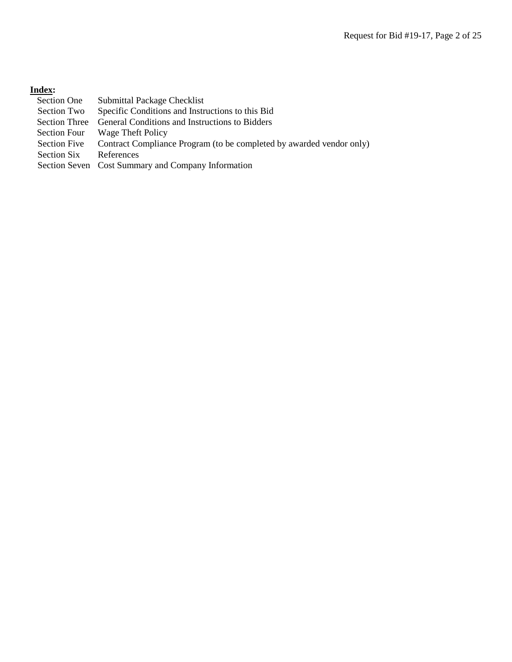# **Index:**

| Section One          | Submittal Package Checklist                                          |
|----------------------|----------------------------------------------------------------------|
| Section Two          | Specific Conditions and Instructions to this Bid                     |
| <b>Section Three</b> | General Conditions and Instructions to Bidders                       |
| Section Four         | Wage Theft Policy                                                    |
| <b>Section Five</b>  | Contract Compliance Program (to be completed by awarded vendor only) |
| <b>Section Six</b>   | References                                                           |
|                      | Section Seven Cost Summary and Company Information                   |
|                      |                                                                      |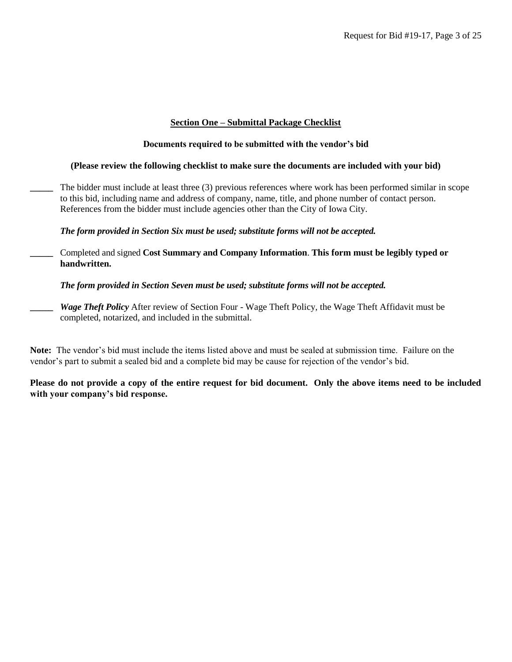#### **Section One – Submittal Package Checklist**

#### **Documents required to be submitted with the vendor's bid**

#### **(Please review the following checklist to make sure the documents are included with your bid)**

**\_\_\_\_\_** The bidder must include at least three (3) previous references where work has been performed similar in scope to this bid, including name and address of company, name, title, and phone number of contact person. References from the bidder must include agencies other than the City of Iowa City.

#### *The form provided in Section Six must be used; substitute forms will not be accepted.*

**\_\_\_\_\_** Completed and signed **Cost Summary and Company Information**. **This form must be legibly typed or handwritten.**

*The form provided in Section Seven must be used; substitute forms will not be accepted.*

*Wage Theft Policy* After review of Section Four - Wage Theft Policy, the Wage Theft Affidavit must be completed, notarized, and included in the submittal.

**Note:** The vendor's bid must include the items listed above and must be sealed at submission time. Failure on the vendor's part to submit a sealed bid and a complete bid may be cause for rejection of the vendor's bid.

**Please do not provide a copy of the entire request for bid document. Only the above items need to be included with your company's bid response.**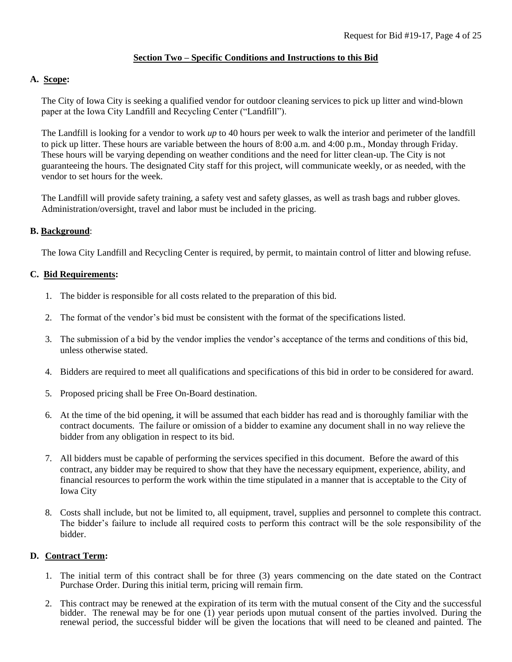# **Section Two – Specific Conditions and Instructions to this Bid**

# **A. Scope:**

The City of Iowa City is seeking a qualified vendor for outdoor cleaning services to pick up litter and wind-blown paper at the Iowa City Landfill and Recycling Center ("Landfill").

The Landfill is looking for a vendor to work *up* to 40 hours per week to walk the interior and perimeter of the landfill to pick up litter. These hours are variable between the hours of 8:00 a.m. and 4:00 p.m., Monday through Friday. These hours will be varying depending on weather conditions and the need for litter clean-up. The City is not guaranteeing the hours. The designated City staff for this project, will communicate weekly, or as needed, with the vendor to set hours for the week.

The Landfill will provide safety training, a safety vest and safety glasses, as well as trash bags and rubber gloves. Administration/oversight, travel and labor must be included in the pricing.

# **B. Background**:

The Iowa City Landfill and Recycling Center is required, by permit, to maintain control of litter and blowing refuse.

# **C. Bid Requirements:**

- 1. The bidder is responsible for all costs related to the preparation of this bid.
- 2. The format of the vendor's bid must be consistent with the format of the specifications listed.
- 3. The submission of a bid by the vendor implies the vendor's acceptance of the terms and conditions of this bid, unless otherwise stated.
- 4. Bidders are required to meet all qualifications and specifications of this bid in order to be considered for award.
- 5. Proposed pricing shall be Free On-Board destination.
- 6. At the time of the bid opening, it will be assumed that each bidder has read and is thoroughly familiar with the contract documents. The failure or omission of a bidder to examine any document shall in no way relieve the bidder from any obligation in respect to its bid.
- 7. All bidders must be capable of performing the services specified in this document. Before the award of this contract, any bidder may be required to show that they have the necessary equipment, experience, ability, and financial resources to perform the work within the time stipulated in a manner that is acceptable to the City of Iowa City
- 8. Costs shall include, but not be limited to, all equipment, travel, supplies and personnel to complete this contract. The bidder's failure to include all required costs to perform this contract will be the sole responsibility of the bidder.

# **D. Contract Term:**

- 1. The initial term of this contract shall be for three (3) years commencing on the date stated on the Contract Purchase Order. During this initial term, pricing will remain firm.
- 2. This contract may be renewed at the expiration of its term with the mutual consent of the City and the successful bidder. The renewal may be for one (1) year periods upon mutual consent of the parties involved. During the renewal period, the successful bidder will be given the locations that will need to be cleaned and painted. The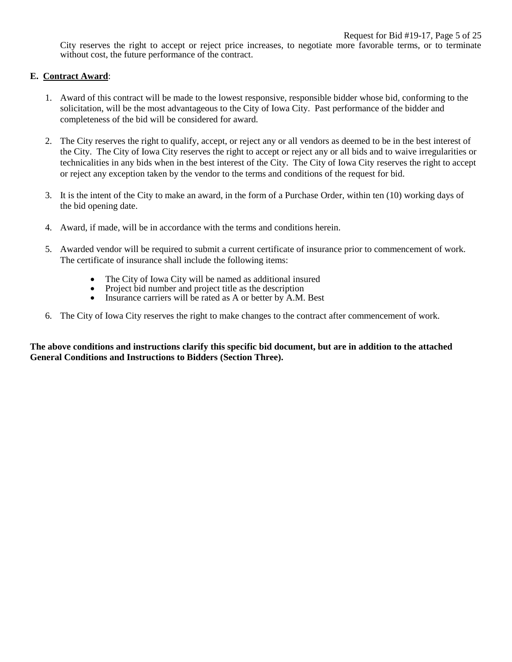City reserves the right to accept or reject price increases, to negotiate more favorable terms, or to terminate without cost, the future performance of the contract.

#### **E. Contract Award**:

- 1. Award of this contract will be made to the lowest responsive, responsible bidder whose bid, conforming to the solicitation, will be the most advantageous to the City of Iowa City. Past performance of the bidder and completeness of the bid will be considered for award.
- 2. The City reserves the right to qualify, accept, or reject any or all vendors as deemed to be in the best interest of the City. The City of Iowa City reserves the right to accept or reject any or all bids and to waive irregularities or technicalities in any bids when in the best interest of the City. The City of Iowa City reserves the right to accept or reject any exception taken by the vendor to the terms and conditions of the request for bid.
- 3. It is the intent of the City to make an award, in the form of a Purchase Order, within ten (10) working days of the bid opening date.
- 4. Award, if made, will be in accordance with the terms and conditions herein.
- 5. Awarded vendor will be required to submit a current certificate of insurance prior to commencement of work. The certificate of insurance shall include the following items:
	- The City of Iowa City will be named as additional insured
	- Project bid number and project title as the description
	- Insurance carriers will be rated as A or better by A.M. Best
- 6. The City of Iowa City reserves the right to make changes to the contract after commencement of work.

**The above conditions and instructions clarify this specific bid document, but are in addition to the attached General Conditions and Instructions to Bidders (Section Three).**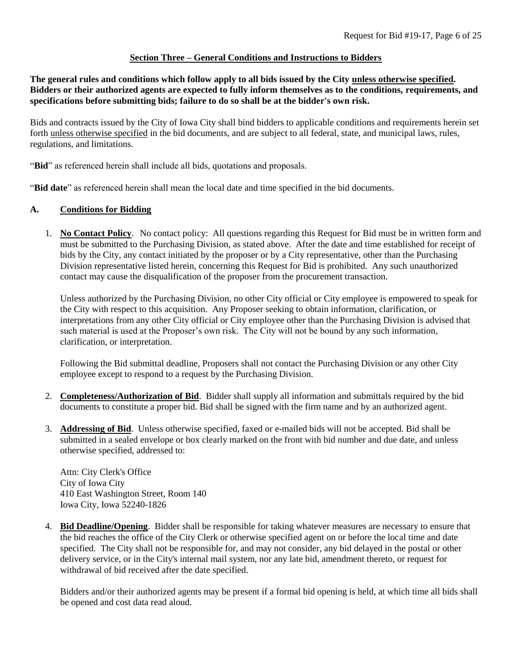# **Section Three – General Conditions and Instructions to Bidders**

**The general rules and conditions which follow apply to all bids issued by the City unless otherwise specified. Bidders or their authorized agents are expected to fully inform themselves as to the conditions, requirements, and specifications before submitting bids; failure to do so shall be at the bidder's own risk.**

Bids and contracts issued by the City of Iowa City shall bind bidders to applicable conditions and requirements herein set forth unless otherwise specified in the bid documents, and are subject to all federal, state, and municipal laws, rules, regulations, and limitations.

"**Bid**" as referenced herein shall include all bids, quotations and proposals.

"**Bid date**" as referenced herein shall mean the local date and time specified in the bid documents.

#### **A. Conditions for Bidding**

1. **No Contact Policy**. No contact policy: All questions regarding this Request for Bid must be in written form and must be submitted to the Purchasing Division, as stated above. After the date and time established for receipt of bids by the City, any contact initiated by the proposer or by a City representative, other than the Purchasing Division representative listed herein, concerning this Request for Bid is prohibited. Any such unauthorized contact may cause the disqualification of the proposer from the procurement transaction.

Unless authorized by the Purchasing Division, no other City official or City employee is empowered to speak for the City with respect to this acquisition. Any Proposer seeking to obtain information, clarification, or interpretations from any other City official or City employee other than the Purchasing Division is advised that such material is used at the Proposer's own risk. The City will not be bound by any such information, clarification, or interpretation.

Following the Bid submittal deadline, Proposers shall not contact the Purchasing Division or any other City employee except to respond to a request by the Purchasing Division.

- 2. **Completeness/Authorization of Bid**. Bidder shall supply all information and submittals required by the bid documents to constitute a proper bid. Bid shall be signed with the firm name and by an authorized agent.
- 3. **Addressing of Bid**. Unless otherwise specified, faxed or e-mailed bids will not be accepted. Bid shall be submitted in a sealed envelope or box clearly marked on the front with bid number and due date, and unless otherwise specified, addressed to:

Attn: City Clerk's Office City of Iowa City 410 East Washington Street, Room 140 Iowa City, Iowa 52240-1826

4. **Bid Deadline/Opening**. Bidder shall be responsible for taking whatever measures are necessary to ensure that the bid reaches the office of the City Clerk or otherwise specified agent on or before the local time and date specified. The City shall not be responsible for, and may not consider, any bid delayed in the postal or other delivery service, or in the City's internal mail system, nor any late bid, amendment thereto, or request for withdrawal of bid received after the date specified.

Bidders and/or their authorized agents may be present if a formal bid opening is held, at which time all bids shall be opened and cost data read aloud.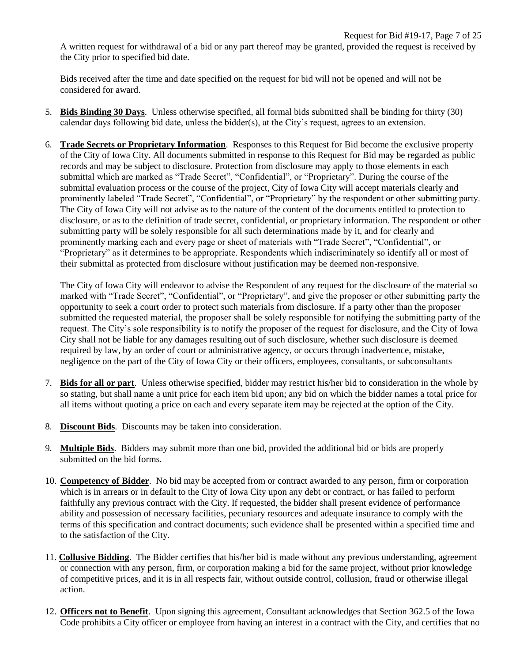A written request for withdrawal of a bid or any part thereof may be granted, provided the request is received by the City prior to specified bid date.

Bids received after the time and date specified on the request for bid will not be opened and will not be considered for award.

- 5. **Bids Binding 30 Days**. Unless otherwise specified, all formal bids submitted shall be binding for thirty (30) calendar days following bid date, unless the bidder(s), at the City's request, agrees to an extension.
- 6. **Trade Secrets or Proprietary Information**. Responses to this Request for Bid become the exclusive property of the City of Iowa City. All documents submitted in response to this Request for Bid may be regarded as public records and may be subject to disclosure. Protection from disclosure may apply to those elements in each submittal which are marked as "Trade Secret", "Confidential", or "Proprietary". During the course of the submittal evaluation process or the course of the project, City of Iowa City will accept materials clearly and prominently labeled "Trade Secret", "Confidential", or "Proprietary" by the respondent or other submitting party. The City of Iowa City will not advise as to the nature of the content of the documents entitled to protection to disclosure, or as to the definition of trade secret, confidential, or proprietary information. The respondent or other submitting party will be solely responsible for all such determinations made by it, and for clearly and prominently marking each and every page or sheet of materials with "Trade Secret", "Confidential", or "Proprietary" as it determines to be appropriate. Respondents which indiscriminately so identify all or most of their submittal as protected from disclosure without justification may be deemed non-responsive.

The City of Iowa City will endeavor to advise the Respondent of any request for the disclosure of the material so marked with "Trade Secret", "Confidential", or "Proprietary", and give the proposer or other submitting party the opportunity to seek a court order to protect such materials from disclosure. If a party other than the proposer submitted the requested material, the proposer shall be solely responsible for notifying the submitting party of the request. The City's sole responsibility is to notify the proposer of the request for disclosure, and the City of Iowa City shall not be liable for any damages resulting out of such disclosure, whether such disclosure is deemed required by law, by an order of court or administrative agency, or occurs through inadvertence, mistake, negligence on the part of the City of Iowa City or their officers, employees, consultants, or subconsultants

- 7. **Bids for all or part**. Unless otherwise specified, bidder may restrict his/her bid to consideration in the whole by so stating, but shall name a unit price for each item bid upon; any bid on which the bidder names a total price for all items without quoting a price on each and every separate item may be rejected at the option of the City.
- 8. **Discount Bids**. Discounts may be taken into consideration.
- 9. **Multiple Bids**. Bidders may submit more than one bid, provided the additional bid or bids are properly submitted on the bid forms.
- 10. **Competency of Bidder**. No bid may be accepted from or contract awarded to any person, firm or corporation which is in arrears or in default to the City of Iowa City upon any debt or contract, or has failed to perform faithfully any previous contract with the City. If requested, the bidder shall present evidence of performance ability and possession of necessary facilities, pecuniary resources and adequate insurance to comply with the terms of this specification and contract documents; such evidence shall be presented within a specified time and to the satisfaction of the City.
- 11. **Collusive Bidding**. The Bidder certifies that his/her bid is made without any previous understanding, agreement or connection with any person, firm, or corporation making a bid for the same project, without prior knowledge of competitive prices, and it is in all respects fair, without outside control, collusion, fraud or otherwise illegal action.
- 12. **Officers not to Benefit**. Upon signing this agreement, Consultant acknowledges that Section 362.5 of the Iowa Code prohibits a City officer or employee from having an interest in a contract with the City, and certifies that no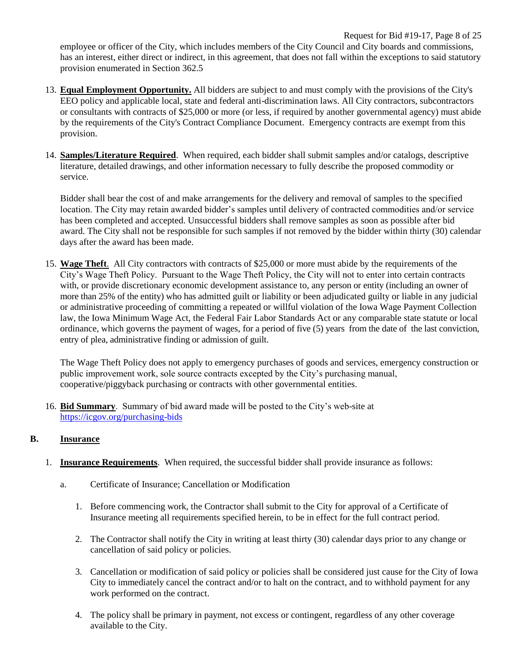Request for Bid #19-17, Page 8 of 25 employee or officer of the City, which includes members of the City Council and City boards and commissions, has an interest, either direct or indirect, in this agreement, that does not fall within the exceptions to said statutory provision enumerated in Section 362.5

- 13. **Equal Employment Opportunity.** All bidders are subject to and must comply with the provisions of the City's EEO policy and applicable local, state and federal anti-discrimination laws. All City contractors, subcontractors or consultants with contracts of \$25,000 or more (or less, if required by another governmental agency) must abide by the requirements of the City's Contract Compliance Document. Emergency contracts are exempt from this provision.
- 14. **Samples/Literature Required**. When required, each bidder shall submit samples and/or catalogs, descriptive literature, detailed drawings, and other information necessary to fully describe the proposed commodity or service.

Bidder shall bear the cost of and make arrangements for the delivery and removal of samples to the specified location. The City may retain awarded bidder's samples until delivery of contracted commodities and/or service has been completed and accepted. Unsuccessful bidders shall remove samples as soon as possible after bid award. The City shall not be responsible for such samples if not removed by the bidder within thirty (30) calendar days after the award has been made.

15. **Wage Theft**. All City contractors with contracts of \$25,000 or more must abide by the requirements of the City's Wage Theft Policy. Pursuant to the Wage Theft Policy, the City will not to enter into certain contracts with, or provide discretionary economic development assistance to, any person or entity (including an owner of more than 25% of the entity) who has admitted guilt or liability or been adjudicated guilty or liable in any judicial or administrative proceeding of committing a repeated or willful violation of the Iowa Wage Payment Collection law, the Iowa Minimum Wage Act, the Federal Fair Labor Standards Act or any comparable state statute or local ordinance, which governs the payment of wages, for a period of five (5) years from the date of the last conviction, entry of plea, administrative finding or admission of guilt.

The Wage Theft Policy does not apply to emergency purchases of goods and services, emergency construction or public improvement work, sole source contracts excepted by the City's purchasing manual, cooperative/piggyback purchasing or contracts with other governmental entities.

16. **Bid Summary**. Summary of bid award made will be posted to the City's web-site at <https://icgov.org/purchasing-bids>

# **B. Insurance**

- 1. **Insurance Requirements**. When required, the successful bidder shall provide insurance as follows:
	- a. Certificate of Insurance; Cancellation or Modification
		- 1. Before commencing work, the Contractor shall submit to the City for approval of a Certificate of Insurance meeting all requirements specified herein, to be in effect for the full contract period.
		- 2. The Contractor shall notify the City in writing at least thirty (30) calendar days prior to any change or cancellation of said policy or policies.
		- 3. Cancellation or modification of said policy or policies shall be considered just cause for the City of Iowa City to immediately cancel the contract and/or to halt on the contract, and to withhold payment for any work performed on the contract.
		- 4. The policy shall be primary in payment, not excess or contingent, regardless of any other coverage available to the City.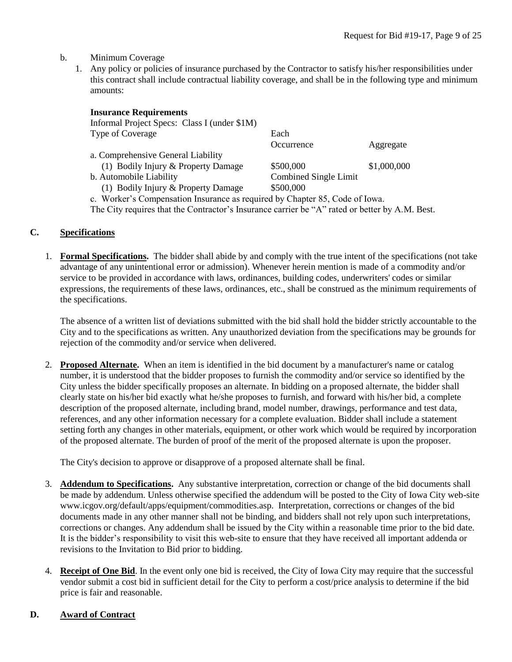#### b. Minimum Coverage

1. Any policy or policies of insurance purchased by the Contractor to satisfy his/her responsibilities under this contract shall include contractual liability coverage, and shall be in the following type and minimum amounts:

| <b>Insurance Requirements</b>                                               |                       |             |
|-----------------------------------------------------------------------------|-----------------------|-------------|
| Informal Project Specs: Class I (under \$1M)                                |                       |             |
| Type of Coverage                                                            | Each                  |             |
|                                                                             | Occurrence            | Aggregate   |
| a. Comprehensive General Liability                                          |                       |             |
| (1) Bodily Injury & Property Damage                                         | \$500,000             | \$1,000,000 |
| b. Automobile Liability                                                     | Combined Single Limit |             |
| (1) Bodily Injury & Property Damage                                         | \$500,000             |             |
| c. Worker's Compensation Insurance as required by Chapter 85, Code of Iowa. |                       |             |

The City requires that the Contractor's Insurance carrier be "A" rated or better by A.M. Best.

#### **C. Specifications**

1. **Formal Specifications.** The bidder shall abide by and comply with the true intent of the specifications (not take advantage of any unintentional error or admission). Whenever herein mention is made of a commodity and/or service to be provided in accordance with laws, ordinances, building codes, underwriters' codes or similar expressions, the requirements of these laws, ordinances, etc., shall be construed as the minimum requirements of the specifications.

The absence of a written list of deviations submitted with the bid shall hold the bidder strictly accountable to the City and to the specifications as written. Any unauthorized deviation from the specifications may be grounds for rejection of the commodity and/or service when delivered.

2. **Proposed Alternate.** When an item is identified in the bid document by a manufacturer's name or catalog number, it is understood that the bidder proposes to furnish the commodity and/or service so identified by the City unless the bidder specifically proposes an alternate. In bidding on a proposed alternate, the bidder shall clearly state on his/her bid exactly what he/she proposes to furnish, and forward with his/her bid, a complete description of the proposed alternate, including brand, model number, drawings, performance and test data, references, and any other information necessary for a complete evaluation. Bidder shall include a statement setting forth any changes in other materials, equipment, or other work which would be required by incorporation of the proposed alternate. The burden of proof of the merit of the proposed alternate is upon the proposer.

The City's decision to approve or disapprove of a proposed alternate shall be final.

- 3. **Addendum to Specifications.** Any substantive interpretation, correction or change of the bid documents shall be made by addendum. Unless otherwise specified the addendum will be posted to the City of Iowa City web-site www.icgov.org/default/apps/equipment/commodities.asp. Interpretation, corrections or changes of the bid documents made in any other manner shall not be binding, and bidders shall not rely upon such interpretations, corrections or changes. Any addendum shall be issued by the City within a reasonable time prior to the bid date. It is the bidder's responsibility to visit this web-site to ensure that they have received all important addenda or revisions to the Invitation to Bid prior to bidding.
- 4. **Receipt of One Bid**. In the event only one bid is received, the City of Iowa City may require that the successful vendor submit a cost bid in sufficient detail for the City to perform a cost/price analysis to determine if the bid price is fair and reasonable.

# **D. Award of Contract**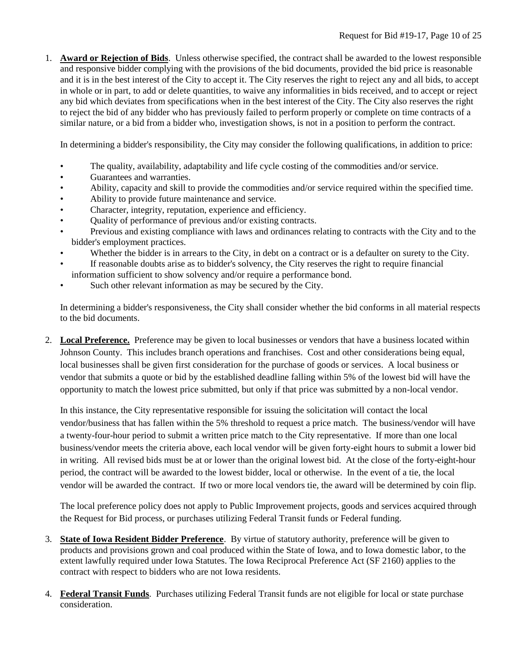1. **Award or Rejection of Bids**. Unless otherwise specified, the contract shall be awarded to the lowest responsible and responsive bidder complying with the provisions of the bid documents, provided the bid price is reasonable and it is in the best interest of the City to accept it. The City reserves the right to reject any and all bids, to accept in whole or in part, to add or delete quantities, to waive any informalities in bids received, and to accept or reject any bid which deviates from specifications when in the best interest of the City. The City also reserves the right to reject the bid of any bidder who has previously failed to perform properly or complete on time contracts of a similar nature, or a bid from a bidder who, investigation shows, is not in a position to perform the contract.

In determining a bidder's responsibility, the City may consider the following qualifications, in addition to price:

- The quality, availability, adaptability and life cycle costing of the commodities and/or service.
- Guarantees and warranties.
- Ability, capacity and skill to provide the commodities and/or service required within the specified time.
- Ability to provide future maintenance and service.
- Character, integrity, reputation, experience and efficiency.
- Quality of performance of previous and/or existing contracts.
- Previous and existing compliance with laws and ordinances relating to contracts with the City and to the bidder's employment practices.
- Whether the bidder is in arrears to the City, in debt on a contract or is a defaulter on surety to the City.
- If reasonable doubts arise as to bidder's solvency, the City reserves the right to require financial information sufficient to show solvency and/or require a performance bond.
- Such other relevant information as may be secured by the City.

In determining a bidder's responsiveness, the City shall consider whether the bid conforms in all material respects to the bid documents.

2. **Local Preference.** Preference may be given to local businesses or vendors that have a business located within Johnson County. This includes branch operations and franchises. Cost and other considerations being equal, local businesses shall be given first consideration for the purchase of goods or services. A local business or vendor that submits a quote or bid by the established deadline falling within 5% of the lowest bid will have the opportunity to match the lowest price submitted, but only if that price was submitted by a non-local vendor.

In this instance, the City representative responsible for issuing the solicitation will contact the local vendor/business that has fallen within the 5% threshold to request a price match. The business/vendor will have a twenty-four-hour period to submit a written price match to the City representative. If more than one local business/vendor meets the criteria above, each local vendor will be given forty-eight hours to submit a lower bid in writing. All revised bids must be at or lower than the original lowest bid. At the close of the forty-eight-hour period, the contract will be awarded to the lowest bidder, local or otherwise. In the event of a tie, the local vendor will be awarded the contract. If two or more local vendors tie, the award will be determined by coin flip.

The local preference policy does not apply to Public Improvement projects, goods and services acquired through the Request for Bid process, or purchases utilizing Federal Transit funds or Federal funding.

- 3. **State of Iowa Resident Bidder Preference**. By virtue of statutory authority, preference will be given to products and provisions grown and coal produced within the State of Iowa, and to Iowa domestic labor, to the extent lawfully required under Iowa Statutes. The Iowa Reciprocal Preference Act (SF 2160) applies to the contract with respect to bidders who are not Iowa residents.
- 4. **Federal Transit Funds**. Purchases utilizing Federal Transit funds are not eligible for local or state purchase consideration.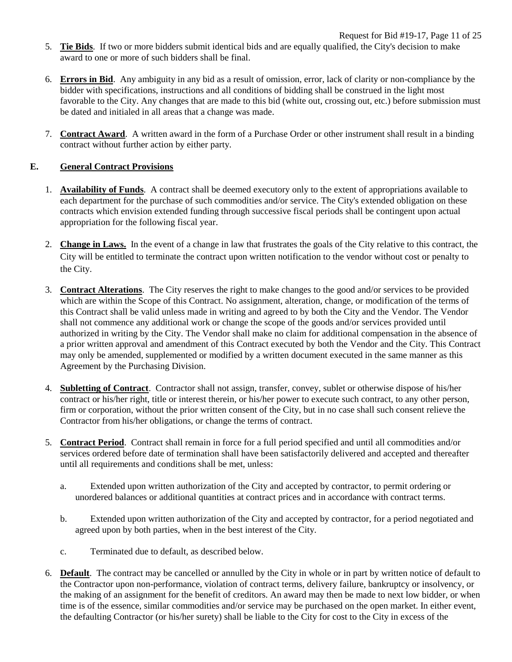- 5. **Tie Bids**. If two or more bidders submit identical bids and are equally qualified, the City's decision to make award to one or more of such bidders shall be final.
- 6. **Errors in Bid**. Any ambiguity in any bid as a result of omission, error, lack of clarity or non-compliance by the bidder with specifications, instructions and all conditions of bidding shall be construed in the light most favorable to the City. Any changes that are made to this bid (white out, crossing out, etc.) before submission must be dated and initialed in all areas that a change was made.
- 7. **Contract Award**. A written award in the form of a Purchase Order or other instrument shall result in a binding contract without further action by either party.

# **E. General Contract Provisions**

- 1. **Availability of Funds**. A contract shall be deemed executory only to the extent of appropriations available to each department for the purchase of such commodities and/or service. The City's extended obligation on these contracts which envision extended funding through successive fiscal periods shall be contingent upon actual appropriation for the following fiscal year.
- 2. **Change in Laws.** In the event of a change in law that frustrates the goals of the City relative to this contract, the City will be entitled to terminate the contract upon written notification to the vendor without cost or penalty to the City.
- 3. **Contract Alterations**. The City reserves the right to make changes to the good and/or services to be provided which are within the Scope of this Contract. No assignment, alteration, change, or modification of the terms of this Contract shall be valid unless made in writing and agreed to by both the City and the Vendor. The Vendor shall not commence any additional work or change the scope of the goods and/or services provided until authorized in writing by the City. The Vendor shall make no claim for additional compensation in the absence of a prior written approval and amendment of this Contract executed by both the Vendor and the City. This Contract may only be amended, supplemented or modified by a written document executed in the same manner as this Agreement by the Purchasing Division.
- 4. **Subletting of Contract**. Contractor shall not assign, transfer, convey, sublet or otherwise dispose of his/her contract or his/her right, title or interest therein, or his/her power to execute such contract, to any other person, firm or corporation, without the prior written consent of the City, but in no case shall such consent relieve the Contractor from his/her obligations, or change the terms of contract.
- 5. **Contract Period**. Contract shall remain in force for a full period specified and until all commodities and/or services ordered before date of termination shall have been satisfactorily delivered and accepted and thereafter until all requirements and conditions shall be met, unless:
	- a. Extended upon written authorization of the City and accepted by contractor, to permit ordering or unordered balances or additional quantities at contract prices and in accordance with contract terms.
	- b. Extended upon written authorization of the City and accepted by contractor, for a period negotiated and agreed upon by both parties, when in the best interest of the City.
	- c. Terminated due to default, as described below.
- 6. **Default**. The contract may be cancelled or annulled by the City in whole or in part by written notice of default to the Contractor upon non-performance, violation of contract terms, delivery failure, bankruptcy or insolvency, or the making of an assignment for the benefit of creditors. An award may then be made to next low bidder, or when time is of the essence, similar commodities and/or service may be purchased on the open market. In either event, the defaulting Contractor (or his/her surety) shall be liable to the City for cost to the City in excess of the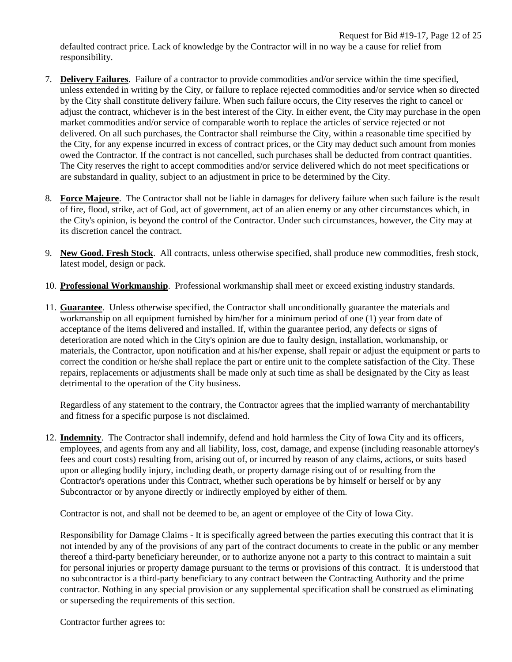defaulted contract price. Lack of knowledge by the Contractor will in no way be a cause for relief from responsibility.

- 7. **Delivery Failures**. Failure of a contractor to provide commodities and/or service within the time specified, unless extended in writing by the City, or failure to replace rejected commodities and/or service when so directed by the City shall constitute delivery failure. When such failure occurs, the City reserves the right to cancel or adjust the contract, whichever is in the best interest of the City. In either event, the City may purchase in the open market commodities and/or service of comparable worth to replace the articles of service rejected or not delivered. On all such purchases, the Contractor shall reimburse the City, within a reasonable time specified by the City, for any expense incurred in excess of contract prices, or the City may deduct such amount from monies owed the Contractor. If the contract is not cancelled, such purchases shall be deducted from contract quantities. The City reserves the right to accept commodities and/or service delivered which do not meet specifications or are substandard in quality, subject to an adjustment in price to be determined by the City.
- 8. **Force Majeure**. The Contractor shall not be liable in damages for delivery failure when such failure is the result of fire, flood, strike, act of God, act of government, act of an alien enemy or any other circumstances which, in the City's opinion, is beyond the control of the Contractor. Under such circumstances, however, the City may at its discretion cancel the contract.
- 9. **New Good. Fresh Stock**. All contracts, unless otherwise specified, shall produce new commodities, fresh stock, latest model, design or pack.
- 10. **Professional Workmanship**. Professional workmanship shall meet or exceed existing industry standards.
- 11. **Guarantee**. Unless otherwise specified, the Contractor shall unconditionally guarantee the materials and workmanship on all equipment furnished by him/her for a minimum period of one (1) year from date of acceptance of the items delivered and installed. If, within the guarantee period, any defects or signs of deterioration are noted which in the City's opinion are due to faulty design, installation, workmanship, or materials, the Contractor, upon notification and at his/her expense, shall repair or adjust the equipment or parts to correct the condition or he/she shall replace the part or entire unit to the complete satisfaction of the City. These repairs, replacements or adjustments shall be made only at such time as shall be designated by the City as least detrimental to the operation of the City business.

Regardless of any statement to the contrary, the Contractor agrees that the implied warranty of merchantability and fitness for a specific purpose is not disclaimed.

12. **Indemnity**. The Contractor shall indemnify, defend and hold harmless the City of Iowa City and its officers, employees, and agents from any and all liability, loss, cost, damage, and expense (including reasonable attorney's fees and court costs) resulting from, arising out of, or incurred by reason of any claims, actions, or suits based upon or alleging bodily injury, including death, or property damage rising out of or resulting from the Contractor's operations under this Contract, whether such operations be by himself or herself or by any Subcontractor or by anyone directly or indirectly employed by either of them.

Contractor is not, and shall not be deemed to be, an agent or employee of the City of Iowa City.

Responsibility for Damage Claims - It is specifically agreed between the parties executing this contract that it is not intended by any of the provisions of any part of the contract documents to create in the public or any member thereof a third-party beneficiary hereunder, or to authorize anyone not a party to this contract to maintain a suit for personal injuries or property damage pursuant to the terms or provisions of this contract. It is understood that no subcontractor is a third-party beneficiary to any contract between the Contracting Authority and the prime contractor. Nothing in any special provision or any supplemental specification shall be construed as eliminating or superseding the requirements of this section.

Contractor further agrees to: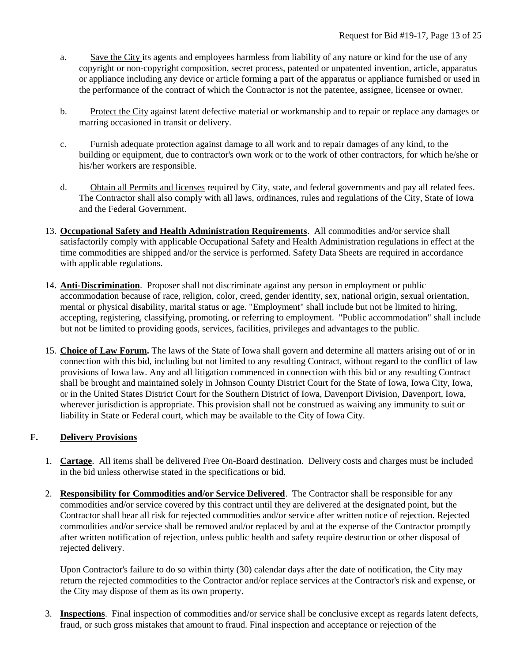- a. Save the City its agents and employees harmless from liability of any nature or kind for the use of any copyright or non-copyright composition, secret process, patented or unpatented invention, article, apparatus or appliance including any device or article forming a part of the apparatus or appliance furnished or used in the performance of the contract of which the Contractor is not the patentee, assignee, licensee or owner.
- b. Protect the City against latent defective material or workmanship and to repair or replace any damages or marring occasioned in transit or delivery.
- c. Furnish adequate protection against damage to all work and to repair damages of any kind, to the building or equipment, due to contractor's own work or to the work of other contractors, for which he/she or his/her workers are responsible.
- d. Obtain all Permits and licenses required by City, state, and federal governments and pay all related fees. The Contractor shall also comply with all laws, ordinances, rules and regulations of the City, State of Iowa and the Federal Government.
- 13. **Occupational Safety and Health Administration Requirements**. All commodities and/or service shall satisfactorily comply with applicable Occupational Safety and Health Administration regulations in effect at the time commodities are shipped and/or the service is performed. Safety Data Sheets are required in accordance with applicable regulations.
- 14. **Anti-Discrimination**. Proposer shall not discriminate against any person in employment or public accommodation because of race, religion, color, creed, gender identity, sex, national origin, sexual orientation, mental or physical disability, marital status or age. "Employment" shall include but not be limited to hiring, accepting, registering, classifying, promoting, or referring to employment. "Public accommodation" shall include but not be limited to providing goods, services, facilities, privileges and advantages to the public.
- 15. **Choice of Law Forum.** The laws of the State of Iowa shall govern and determine all matters arising out of or in connection with this bid, including but not limited to any resulting Contract, without regard to the conflict of law provisions of Iowa law. Any and all litigation commenced in connection with this bid or any resulting Contract shall be brought and maintained solely in Johnson County District Court for the State of Iowa, Iowa City, Iowa, or in the United States District Court for the Southern District of Iowa, Davenport Division, Davenport, Iowa, wherever jurisdiction is appropriate. This provision shall not be construed as waiving any immunity to suit or liability in State or Federal court, which may be available to the City of Iowa City.

# **F. Delivery Provisions**

- 1. **Cartage**. All items shall be delivered Free On-Board destination. Delivery costs and charges must be included in the bid unless otherwise stated in the specifications or bid.
- 2. **Responsibility for Commodities and/or Service Delivered**. The Contractor shall be responsible for any commodities and/or service covered by this contract until they are delivered at the designated point, but the Contractor shall bear all risk for rejected commodities and/or service after written notice of rejection. Rejected commodities and/or service shall be removed and/or replaced by and at the expense of the Contractor promptly after written notification of rejection, unless public health and safety require destruction or other disposal of rejected delivery.

Upon Contractor's failure to do so within thirty (30) calendar days after the date of notification, the City may return the rejected commodities to the Contractor and/or replace services at the Contractor's risk and expense, or the City may dispose of them as its own property.

3. **Inspections**. Final inspection of commodities and/or service shall be conclusive except as regards latent defects, fraud, or such gross mistakes that amount to fraud. Final inspection and acceptance or rejection of the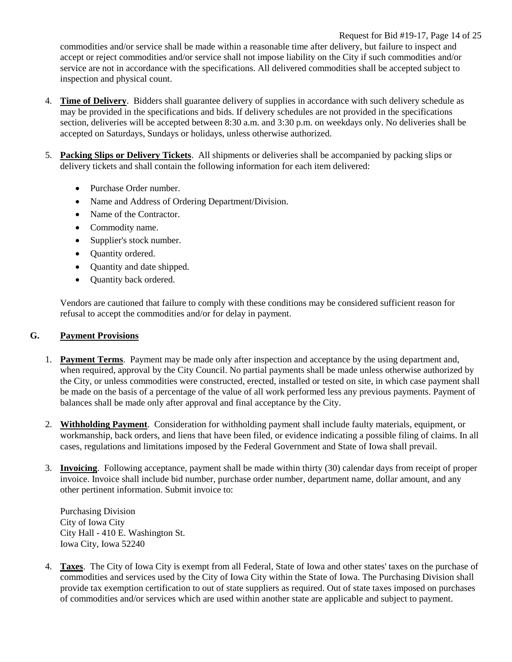Request for Bid #19-17, Page 14 of 25 commodities and/or service shall be made within a reasonable time after delivery, but failure to inspect and accept or reject commodities and/or service shall not impose liability on the City if such commodities and/or service are not in accordance with the specifications. All delivered commodities shall be accepted subject to inspection and physical count.

- 4. **Time of Delivery**. Bidders shall guarantee delivery of supplies in accordance with such delivery schedule as may be provided in the specifications and bids. If delivery schedules are not provided in the specifications section, deliveries will be accepted between 8:30 a.m. and 3:30 p.m. on weekdays only. No deliveries shall be accepted on Saturdays, Sundays or holidays, unless otherwise authorized.
- 5. **Packing Slips or Delivery Tickets**. All shipments or deliveries shall be accompanied by packing slips or delivery tickets and shall contain the following information for each item delivered:
	- Purchase Order number.
	- Name and Address of Ordering Department/Division.
	- Name of the Contractor.
	- Commodity name.
	- Supplier's stock number.
	- Quantity ordered.
	- Quantity and date shipped.
	- Quantity back ordered.

Vendors are cautioned that failure to comply with these conditions may be considered sufficient reason for refusal to accept the commodities and/or for delay in payment.

# **G. Payment Provisions**

- 1. **Payment Terms**. Payment may be made only after inspection and acceptance by the using department and, when required, approval by the City Council. No partial payments shall be made unless otherwise authorized by the City, or unless commodities were constructed, erected, installed or tested on site, in which case payment shall be made on the basis of a percentage of the value of all work performed less any previous payments. Payment of balances shall be made only after approval and final acceptance by the City.
- 2. **Withholding Payment**. Consideration for withholding payment shall include faulty materials, equipment, or workmanship, back orders, and liens that have been filed, or evidence indicating a possible filing of claims. In all cases, regulations and limitations imposed by the Federal Government and State of Iowa shall prevail.
- 3. **Invoicing**. Following acceptance, payment shall be made within thirty (30) calendar days from receipt of proper invoice. Invoice shall include bid number, purchase order number, department name, dollar amount, and any other pertinent information. Submit invoice to:

Purchasing Division City of Iowa City City Hall - 410 E. Washington St. Iowa City, Iowa 52240

4. **Taxes**. The City of Iowa City is exempt from all Federal, State of Iowa and other states' taxes on the purchase of commodities and services used by the City of Iowa City within the State of Iowa. The Purchasing Division shall provide tax exemption certification to out of state suppliers as required. Out of state taxes imposed on purchases of commodities and/or services which are used within another state are applicable and subject to payment.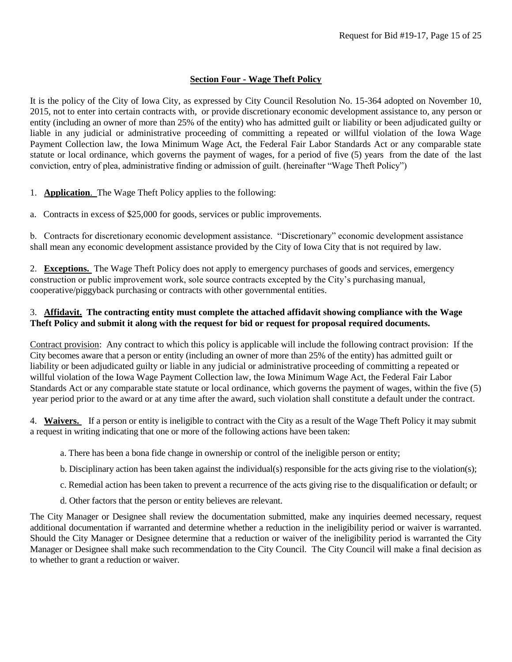#### **Section Four - Wage Theft Policy**

It is the policy of the City of Iowa City, as expressed by City Council Resolution No. 15-364 adopted on November 10, 2015, not to enter into certain contracts with, or provide discretionary economic development assistance to, any person or entity (including an owner of more than 25% of the entity) who has admitted guilt or liability or been adjudicated guilty or liable in any judicial or administrative proceeding of committing a repeated or willful violation of the Iowa Wage Payment Collection law, the Iowa Minimum Wage Act, the Federal Fair Labor Standards Act or any comparable state statute or local ordinance, which governs the payment of wages, for a period of five (5) years from the date of the last conviction, entry of plea, administrative finding or admission of guilt. (hereinafter "Wage Theft Policy")

1. **Application**. The Wage Theft Policy applies to the following:

a. Contracts in excess of \$25,000 for goods, services or public improvements.

b. Contracts for discretionary economic development assistance. "Discretionary" economic development assistance shall mean any economic development assistance provided by the City of Iowa City that is not required by law.

2. **Exceptions.** The Wage Theft Policy does not apply to emergency purchases of goods and services, emergency construction or public improvement work, sole source contracts excepted by the City's purchasing manual, cooperative/piggyback purchasing or contracts with other governmental entities.

#### 3. **Affidavit. The contracting entity must complete the attached affidavit showing compliance with the Wage Theft Policy and submit it along with the request for bid or request for proposal required documents.**

Contract provision: Any contract to which this policy is applicable will include the following contract provision: If the City becomes aware that a person or entity (including an owner of more than 25% of the entity) has admitted guilt or liability or been adjudicated guilty or liable in any judicial or administrative proceeding of committing a repeated or willful violation of the Iowa Wage Payment Collection law, the Iowa Minimum Wage Act, the Federal Fair Labor Standards Act or any comparable state statute or local ordinance, which governs the payment of wages, within the five (5) year period prior to the award or at any time after the award, such violation shall constitute a default under the contract.

4. **Waivers.** If a person or entity is ineligible to contract with the City as a result of the Wage Theft Policy it may submit a request in writing indicating that one or more of the following actions have been taken:

- a. There has been a bona fide change in ownership or control of the ineligible person or entity;
- b. Disciplinary action has been taken against the individual(s) responsible for the acts giving rise to the violation(s);
- c. Remedial action has been taken to prevent a recurrence of the acts giving rise to the disqualification or default; or
- d. Other factors that the person or entity believes are relevant.

The City Manager or Designee shall review the documentation submitted, make any inquiries deemed necessary, request additional documentation if warranted and determine whether a reduction in the ineligibility period or waiver is warranted. Should the City Manager or Designee determine that a reduction or waiver of the ineligibility period is warranted the City Manager or Designee shall make such recommendation to the City Council. The City Council will make a final decision as to whether to grant a reduction or waiver.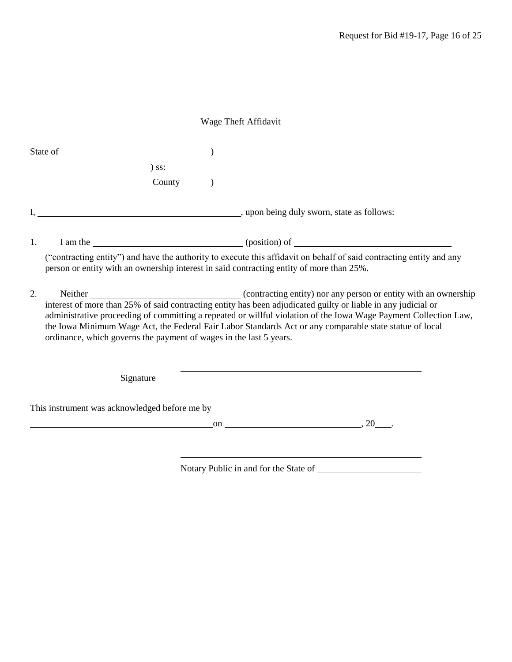# Wage Theft Affidavit

|    | $)$ ss:                                                                                  |    |                                                                                                                                                                                                                                                                                                                                                                                                                                    |
|----|------------------------------------------------------------------------------------------|----|------------------------------------------------------------------------------------------------------------------------------------------------------------------------------------------------------------------------------------------------------------------------------------------------------------------------------------------------------------------------------------------------------------------------------------|
|    | County                                                                                   |    |                                                                                                                                                                                                                                                                                                                                                                                                                                    |
|    |                                                                                          |    |                                                                                                                                                                                                                                                                                                                                                                                                                                    |
| 1. |                                                                                          |    | I am the <u>contract that the contract of the contract of the contract of the contract of the contract of the contract of the contract of the contract of the contract of the contract of the contract of the contract of the co</u>                                                                                                                                                                                               |
|    | person or entity with an ownership interest in said contracting entity of more than 25%. |    | ("contracting entity") and have the authority to execute this affidavit on behalf of said contracting entity and any                                                                                                                                                                                                                                                                                                               |
| 2. | ordinance, which governs the payment of wages in the last 5 years.                       |    | Neither example and contracting entity) nor any person or entity with an ownership<br>interest of more than 25% of said contracting entity has been adjudicated guilty or liable in any judicial or<br>administrative proceeding of committing a repeated or willful violation of the Iowa Wage Payment Collection Law,<br>the Iowa Minimum Wage Act, the Federal Fair Labor Standards Act or any comparable state statue of local |
|    | Signature                                                                                |    |                                                                                                                                                                                                                                                                                                                                                                                                                                    |
|    | This instrument was acknowledged before me by                                            |    |                                                                                                                                                                                                                                                                                                                                                                                                                                    |
|    |                                                                                          | on | 20                                                                                                                                                                                                                                                                                                                                                                                                                                 |
|    |                                                                                          |    |                                                                                                                                                                                                                                                                                                                                                                                                                                    |

Notary Public in and for the State of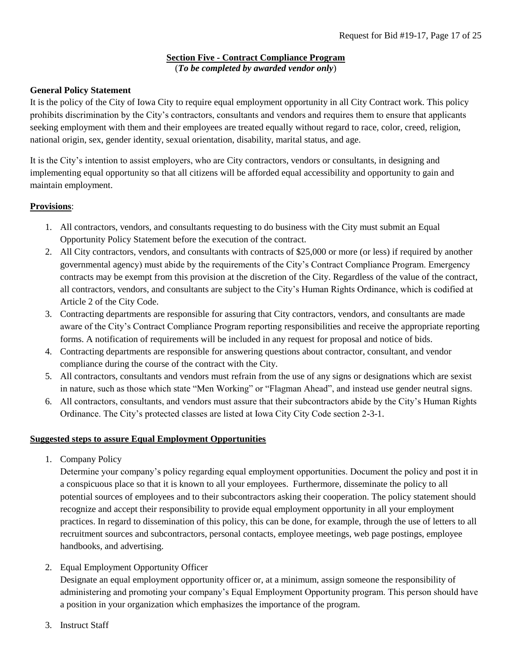# **Section Five - Contract Compliance Program** (*To be completed by awarded vendor only*)

# **General Policy Statement**

It is the policy of the City of Iowa City to require equal employment opportunity in all City Contract work. This policy prohibits discrimination by the City's contractors, consultants and vendors and requires them to ensure that applicants seeking employment with them and their employees are treated equally without regard to race, color, creed, religion, national origin, sex, gender identity, sexual orientation, disability, marital status, and age.

It is the City's intention to assist employers, who are City contractors, vendors or consultants, in designing and implementing equal opportunity so that all citizens will be afforded equal accessibility and opportunity to gain and maintain employment.

#### **Provisions**:

- 1. All contractors, vendors, and consultants requesting to do business with the City must submit an Equal Opportunity Policy Statement before the execution of the contract.
- 2. All City contractors, vendors, and consultants with contracts of \$25,000 or more (or less) if required by another governmental agency) must abide by the requirements of the City's Contract Compliance Program. Emergency contracts may be exempt from this provision at the discretion of the City. Regardless of the value of the contract, all contractors, vendors, and consultants are subject to the City's Human Rights Ordinance, which is codified at Article 2 of the City Code.
- 3. Contracting departments are responsible for assuring that City contractors, vendors, and consultants are made aware of the City's Contract Compliance Program reporting responsibilities and receive the appropriate reporting forms. A notification of requirements will be included in any request for proposal and notice of bids.
- 4. Contracting departments are responsible for answering questions about contractor, consultant, and vendor compliance during the course of the contract with the City.
- 5. All contractors, consultants and vendors must refrain from the use of any signs or designations which are sexist in nature, such as those which state "Men Working" or "Flagman Ahead", and instead use gender neutral signs.
- 6. All contractors, consultants, and vendors must assure that their subcontractors abide by the City's Human Rights Ordinance. The City's protected classes are listed at Iowa City City Code section 2-3-1.

# **Suggested steps to assure Equal Employment Opportunities**

1. Company Policy

Determine your company's policy regarding equal employment opportunities. Document the policy and post it in a conspicuous place so that it is known to all your employees. Furthermore, disseminate the policy to all potential sources of employees and to their subcontractors asking their cooperation. The policy statement should recognize and accept their responsibility to provide equal employment opportunity in all your employment practices. In regard to dissemination of this policy, this can be done, for example, through the use of letters to all recruitment sources and subcontractors, personal contacts, employee meetings, web page postings, employee handbooks, and advertising.

2. Equal Employment Opportunity Officer

Designate an equal employment opportunity officer or, at a minimum, assign someone the responsibility of administering and promoting your company's Equal Employment Opportunity program. This person should have a position in your organization which emphasizes the importance of the program.

3. Instruct Staff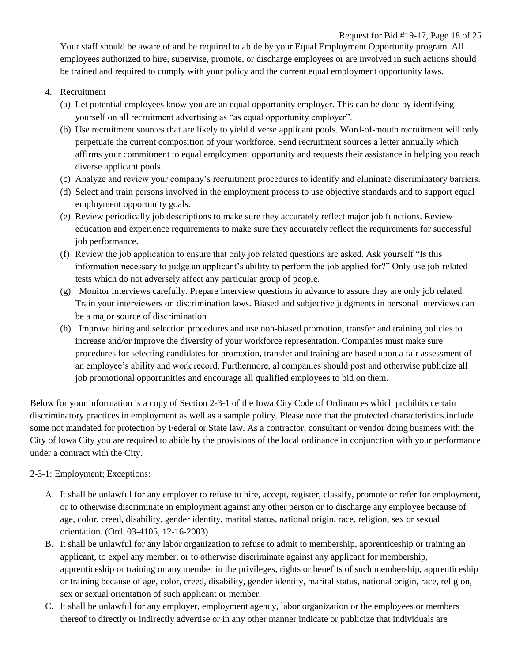Request for Bid #19-17, Page 18 of 25 Your staff should be aware of and be required to abide by your Equal Employment Opportunity program. All employees authorized to hire, supervise, promote, or discharge employees or are involved in such actions should be trained and required to comply with your policy and the current equal employment opportunity laws.

- 4. Recruitment
	- (a) Let potential employees know you are an equal opportunity employer. This can be done by identifying yourself on all recruitment advertising as "as equal opportunity employer".
	- (b) Use recruitment sources that are likely to yield diverse applicant pools. Word-of-mouth recruitment will only perpetuate the current composition of your workforce. Send recruitment sources a letter annually which affirms your commitment to equal employment opportunity and requests their assistance in helping you reach diverse applicant pools.
	- (c) Analyze and review your company's recruitment procedures to identify and eliminate discriminatory barriers.
	- (d) Select and train persons involved in the employment process to use objective standards and to support equal employment opportunity goals.
	- (e) Review periodically job descriptions to make sure they accurately reflect major job functions. Review education and experience requirements to make sure they accurately reflect the requirements for successful job performance.
	- (f) Review the job application to ensure that only job related questions are asked. Ask yourself "Is this information necessary to judge an applicant's ability to perform the job applied for?" Only use job-related tests which do not adversely affect any particular group of people.
	- (g) Monitor interviews carefully. Prepare interview questions in advance to assure they are only job related. Train your interviewers on discrimination laws. Biased and subjective judgments in personal interviews can be a major source of discrimination
	- (h) Improve hiring and selection procedures and use non-biased promotion, transfer and training policies to increase and/or improve the diversity of your workforce representation. Companies must make sure procedures for selecting candidates for promotion, transfer and training are based upon a fair assessment of an employee's ability and work record. Furthermore, al companies should post and otherwise publicize all job promotional opportunities and encourage all qualified employees to bid on them.

Below for your information is a copy of Section 2-3-1 of the Iowa City Code of Ordinances which prohibits certain discriminatory practices in employment as well as a sample policy. Please note that the protected characteristics include some not mandated for protection by Federal or State law. As a contractor, consultant or vendor doing business with the City of Iowa City you are required to abide by the provisions of the local ordinance in conjunction with your performance under a contract with the City.

# 2-3-1: Employment; Exceptions:

- A. It shall be unlawful for any employer to refuse to hire, accept, register, classify, promote or refer for employment, or to otherwise discriminate in employment against any other person or to discharge any employee because of age, color, creed, disability, gender identity, marital status, national origin, race, religion, sex or sexual orientation. (Ord. 03-4105, 12-16-2003)
- B. It shall be unlawful for any labor organization to refuse to admit to membership, apprenticeship or training an applicant, to expel any member, or to otherwise discriminate against any applicant for membership, apprenticeship or training or any member in the privileges, rights or benefits of such membership, apprenticeship or training because of age, color, creed, disability, gender identity, marital status, national origin, race, religion, sex or sexual orientation of such applicant or member.
- C. It shall be unlawful for any employer, employment agency, labor organization or the employees or members thereof to directly or indirectly advertise or in any other manner indicate or publicize that individuals are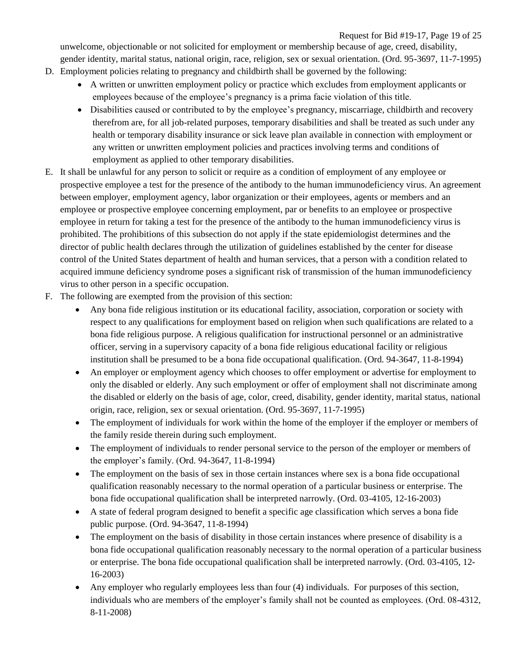Request for Bid #19-17, Page 19 of 25 unwelcome, objectionable or not solicited for employment or membership because of age, creed, disability, gender identity, marital status, national origin, race, religion, sex or sexual orientation. (Ord. 95-3697, 11-7-1995)

- D. Employment policies relating to pregnancy and childbirth shall be governed by the following:
	- A written or unwritten employment policy or practice which excludes from employment applicants or employees because of the employee's pregnancy is a prima facie violation of this title.
	- Disabilities caused or contributed to by the employee's pregnancy, miscarriage, childbirth and recovery therefrom are, for all job-related purposes, temporary disabilities and shall be treated as such under any health or temporary disability insurance or sick leave plan available in connection with employment or any written or unwritten employment policies and practices involving terms and conditions of employment as applied to other temporary disabilities.
- E. It shall be unlawful for any person to solicit or require as a condition of employment of any employee or prospective employee a test for the presence of the antibody to the human immunodeficiency virus. An agreement between employer, employment agency, labor organization or their employees, agents or members and an employee or prospective employee concerning employment, par or benefits to an employee or prospective employee in return for taking a test for the presence of the antibody to the human immunodeficiency virus is prohibited. The prohibitions of this subsection do not apply if the state epidemiologist determines and the director of public health declares through the utilization of guidelines established by the center for disease control of the United States department of health and human services, that a person with a condition related to acquired immune deficiency syndrome poses a significant risk of transmission of the human immunodeficiency virus to other person in a specific occupation.
- F. The following are exempted from the provision of this section:
	- Any bona fide religious institution or its educational facility, association, corporation or society with respect to any qualifications for employment based on religion when such qualifications are related to a bona fide religious purpose. A religious qualification for instructional personnel or an administrative officer, serving in a supervisory capacity of a bona fide religious educational facility or religious institution shall be presumed to be a bona fide occupational qualification. (Ord. 94-3647, 11-8-1994)
	- An employer or employment agency which chooses to offer employment or advertise for employment to only the disabled or elderly. Any such employment or offer of employment shall not discriminate among the disabled or elderly on the basis of age, color, creed, disability, gender identity, marital status, national origin, race, religion, sex or sexual orientation. (Ord. 95-3697, 11-7-1995)
	- The employment of individuals for work within the home of the employer if the employer or members of the family reside therein during such employment.
	- The employment of individuals to render personal service to the person of the employer or members of the employer's family. (Ord. 94-3647, 11-8-1994)
	- The employment on the basis of sex in those certain instances where sex is a bona fide occupational qualification reasonably necessary to the normal operation of a particular business or enterprise. The bona fide occupational qualification shall be interpreted narrowly. (Ord. 03-4105, 12-16-2003)
	- A state of federal program designed to benefit a specific age classification which serves a bona fide public purpose. (Ord. 94-3647, 11-8-1994)
	- The employment on the basis of disability in those certain instances where presence of disability is a bona fide occupational qualification reasonably necessary to the normal operation of a particular business or enterprise. The bona fide occupational qualification shall be interpreted narrowly. (Ord. 03-4105, 12- 16-2003)
	- Any employer who regularly employees less than four (4) individuals. For purposes of this section, individuals who are members of the employer's family shall not be counted as employees. (Ord. 08-4312, 8-11-2008)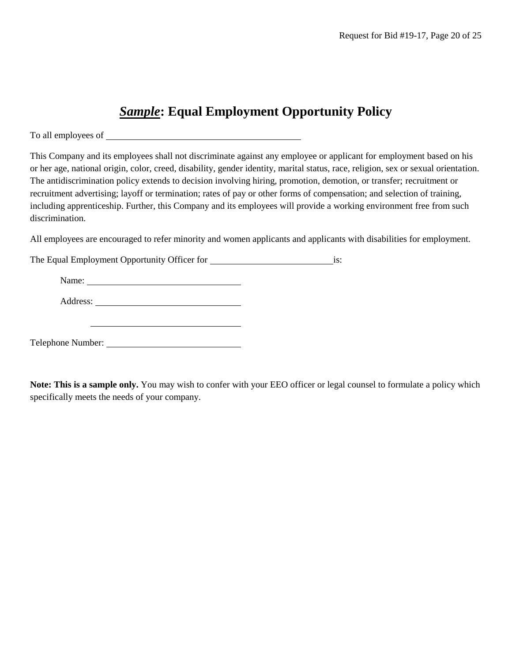# *Sample***: Equal Employment Opportunity Policy**

To all employees of

This Company and its employees shall not discriminate against any employee or applicant for employment based on his or her age, national origin, color, creed, disability, gender identity, marital status, race, religion, sex or sexual orientation. The antidiscrimination policy extends to decision involving hiring, promotion, demotion, or transfer; recruitment or recruitment advertising; layoff or termination; rates of pay or other forms of compensation; and selection of training, including apprenticeship. Further, this Company and its employees will provide a working environment free from such discrimination.

All employees are encouraged to refer minority and women applicants and applicants with disabilities for employment.

The Equal Employment Opportunity Officer for **internal and Container** is:

Name:

Address:

Telephone Number:

**Note: This is a sample only.** You may wish to confer with your EEO officer or legal counsel to formulate a policy which specifically meets the needs of your company.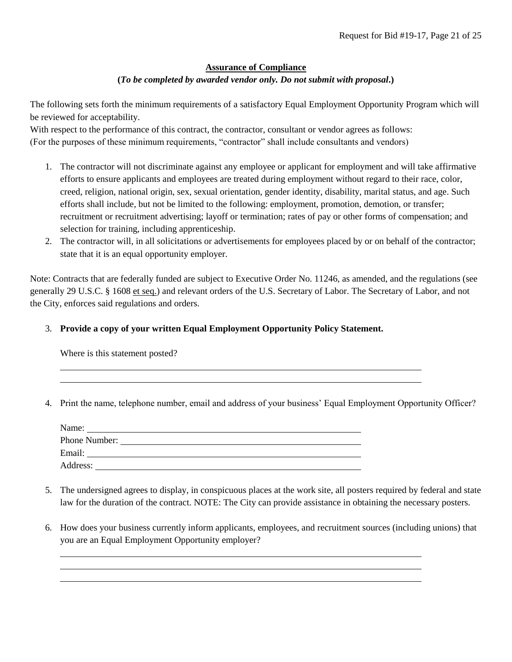# **Assurance of Compliance**

#### **(***To be completed by awarded vendor only. Do not submit with proposal***.)**

The following sets forth the minimum requirements of a satisfactory Equal Employment Opportunity Program which will be reviewed for acceptability.

With respect to the performance of this contract, the contractor, consultant or vendor agrees as follows: (For the purposes of these minimum requirements, "contractor" shall include consultants and vendors)

- 1. The contractor will not discriminate against any employee or applicant for employment and will take affirmative efforts to ensure applicants and employees are treated during employment without regard to their race, color, creed, religion, national origin, sex, sexual orientation, gender identity, disability, marital status, and age. Such efforts shall include, but not be limited to the following: employment, promotion, demotion, or transfer; recruitment or recruitment advertising; layoff or termination; rates of pay or other forms of compensation; and selection for training, including apprenticeship.
- 2. The contractor will, in all solicitations or advertisements for employees placed by or on behalf of the contractor; state that it is an equal opportunity employer.

Note: Contracts that are federally funded are subject to Executive Order No. 11246, as amended, and the regulations (see generally 29 U.S.C. § 1608 et seq.) and relevant orders of the U.S. Secretary of Labor. The Secretary of Labor, and not the City, enforces said regulations and orders.

#### 3. **Provide a copy of your written Equal Employment Opportunity Policy Statement.**

Where is this statement posted?

4. Print the name, telephone number, email and address of your business' Equal Employment Opportunity Officer?

| Name:         |  |  |
|---------------|--|--|
| Phone Number: |  |  |
| Email:        |  |  |
| Address:      |  |  |

- 5. The undersigned agrees to display, in conspicuous places at the work site, all posters required by federal and state law for the duration of the contract. NOTE: The City can provide assistance in obtaining the necessary posters.
- 6. How does your business currently inform applicants, employees, and recruitment sources (including unions) that you are an Equal Employment Opportunity employer?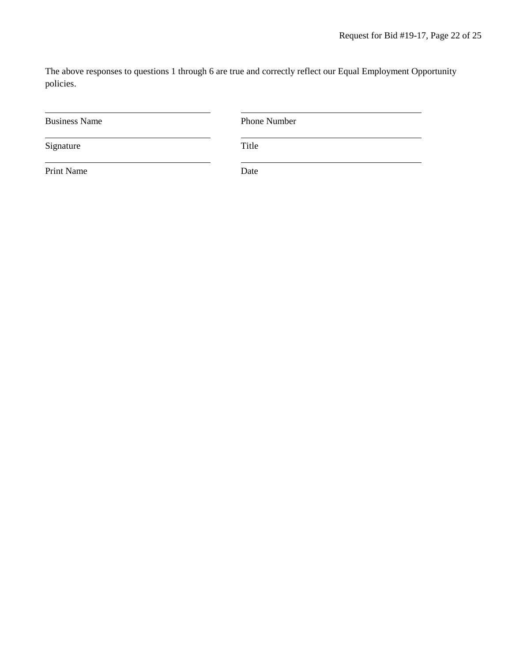The above responses to questions 1 through 6 are true and correctly reflect our Equal Employment Opportunity policies.

| <b>Business Name</b> | Phone Number |
|----------------------|--------------|
| Signature            | Title        |
| Print Name           | Date         |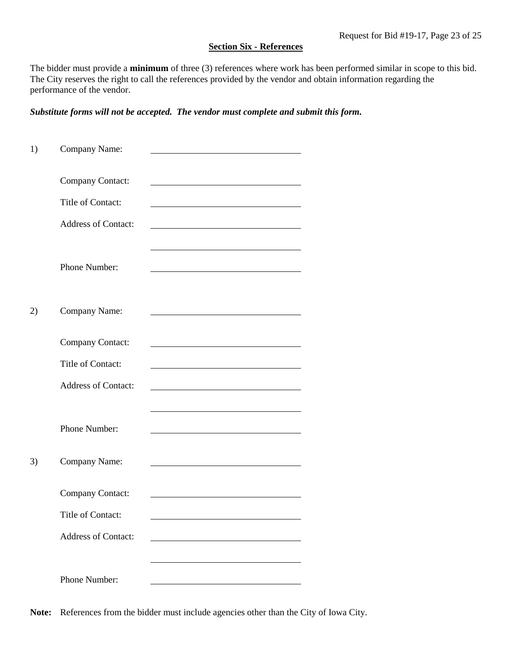#### **Section Six - References**

The bidder must provide a **minimum** of three (3) references where work has been performed similar in scope to this bid. The City reserves the right to call the references provided by the vendor and obtain information regarding the performance of the vendor.

*Substitute forms will not be accepted. The vendor must complete and submit this form.*

| 1) | Company Name:              |                                                                                                                       |
|----|----------------------------|-----------------------------------------------------------------------------------------------------------------------|
|    | Company Contact:           |                                                                                                                       |
|    | Title of Contact:          |                                                                                                                       |
|    | <b>Address of Contact:</b> | <u> 1989 - Johann Stein, Amerikaansk politiker (</u>                                                                  |
|    | Phone Number:              |                                                                                                                       |
| 2) | Company Name:              |                                                                                                                       |
|    | Company Contact:           |                                                                                                                       |
|    | Title of Contact:          |                                                                                                                       |
|    | <b>Address of Contact:</b> | <u> 1989 - Johann Barbara, martin amerikan basar dan berasal dan berasal dalam basar dalam basar dalam basar dala</u> |
|    | Phone Number:              |                                                                                                                       |
| 3) | Company Name:              |                                                                                                                       |
|    | Company Contact:           |                                                                                                                       |
|    | Title of Contact:          |                                                                                                                       |
|    | <b>Address of Contact:</b> |                                                                                                                       |
|    |                            |                                                                                                                       |
|    | Phone Number:              |                                                                                                                       |

**Note:** References from the bidder must include agencies other than the City of Iowa City.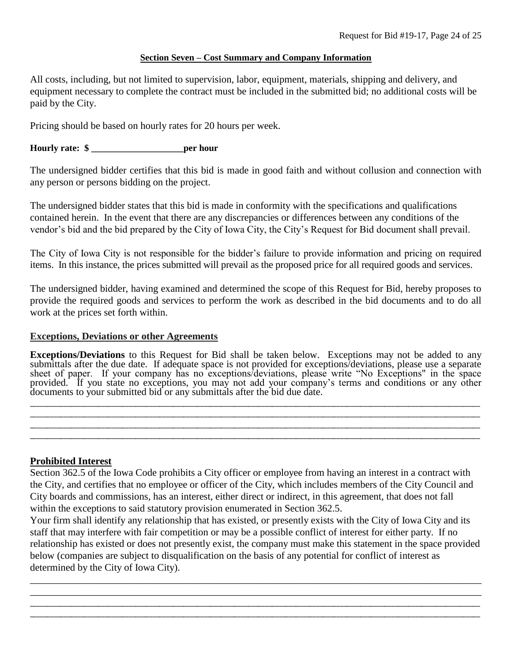# **Section Seven – Cost Summary and Company Information**

All costs, including, but not limited to supervision, labor, equipment, materials, shipping and delivery, and equipment necessary to complete the contract must be included in the submitted bid; no additional costs will be paid by the City.

Pricing should be based on hourly rates for 20 hours per week.

# **Hourly rate: \$ \_\_\_\_\_\_\_\_\_\_\_\_\_\_\_\_\_\_\_\_per hour**

The undersigned bidder certifies that this bid is made in good faith and without collusion and connection with any person or persons bidding on the project.

The undersigned bidder states that this bid is made in conformity with the specifications and qualifications contained herein. In the event that there are any discrepancies or differences between any conditions of the vendor's bid and the bid prepared by the City of Iowa City, the City's Request for Bid document shall prevail.

The City of Iowa City is not responsible for the bidder's failure to provide information and pricing on required items. In this instance, the prices submitted will prevail as the proposed price for all required goods and services.

The undersigned bidder, having examined and determined the scope of this Request for Bid, hereby proposes to provide the required goods and services to perform the work as described in the bid documents and to do all work at the prices set forth within.

# **Exceptions, Deviations or other Agreements**

**Exceptions/Deviations** to this Request for Bid shall be taken below. Exceptions may not be added to any submittals after the due date. If adequate space is not provided for exceptions/deviations, please use a separate sheet of paper. If your company has no exceptions/deviations, please write "No Exceptions" in the space provided. If you state no exceptions, you may not add your company's terms and conditions or any other documents to your submitted bid or any submittals after the bid due date.

\_\_\_\_\_\_\_\_\_\_\_\_\_\_\_\_\_\_\_\_\_\_\_\_\_\_\_\_\_\_\_\_\_\_\_\_\_\_\_\_\_\_\_\_\_\_\_\_\_\_\_\_\_\_\_\_\_\_\_\_\_\_\_\_\_\_\_\_\_\_\_\_\_\_\_\_\_\_\_\_\_\_\_\_\_\_\_\_\_\_\_\_\_\_\_\_\_\_\_\_\_\_\_\_\_\_\_\_\_\_\_\_\_\_\_\_\_\_\_\_\_\_\_\_\_\_\_\_\_\_\_\_ \_\_\_\_\_\_\_\_\_\_\_\_\_\_\_\_\_\_\_\_\_\_\_\_\_\_\_\_\_\_\_\_\_\_\_\_\_\_\_\_\_\_\_\_\_\_\_\_\_\_\_\_\_\_\_\_\_\_\_\_\_\_\_\_\_\_\_\_\_\_\_\_\_\_\_\_\_\_\_\_\_\_\_\_\_\_\_\_\_\_\_\_\_\_\_\_\_\_\_\_\_\_\_\_\_\_\_\_\_\_\_\_\_\_\_\_\_\_\_\_\_\_\_\_\_\_\_\_\_\_\_\_ \_\_\_\_\_\_\_\_\_\_\_\_\_\_\_\_\_\_\_\_\_\_\_\_\_\_\_\_\_\_\_\_\_\_\_\_\_\_\_\_\_\_\_\_\_\_\_\_\_\_\_\_\_\_\_\_\_\_\_\_\_\_\_\_\_\_\_\_\_\_\_\_\_\_\_\_\_\_\_\_\_\_\_\_\_\_\_\_\_\_\_\_\_\_\_\_\_\_\_\_\_\_\_\_\_\_\_\_\_\_\_\_\_\_\_\_\_\_\_\_\_\_\_\_\_\_\_\_\_\_\_\_ \_\_\_\_\_\_\_\_\_\_\_\_\_\_\_\_\_\_\_\_\_\_\_\_\_\_\_\_\_\_\_\_\_\_\_\_\_\_\_\_\_\_\_\_\_\_\_\_\_\_\_\_\_\_\_\_\_\_\_\_\_\_\_\_\_\_\_\_\_\_\_\_\_\_\_\_\_\_\_\_\_\_\_\_\_\_\_\_\_\_\_\_\_\_\_\_\_\_\_\_\_\_\_\_\_\_\_\_\_\_\_\_\_\_\_\_\_\_\_\_\_\_\_\_\_\_\_\_\_\_\_\_

# **Prohibited Interest**

Section 362.5 of the Iowa Code prohibits a City officer or employee from having an interest in a contract with the City, and certifies that no employee or officer of the City, which includes members of the City Council and City boards and commissions, has an interest, either direct or indirect, in this agreement, that does not fall within the exceptions to said statutory provision enumerated in Section 362.5.

Your firm shall identify any relationship that has existed, or presently exists with the City of Iowa City and its staff that may interfere with fair competition or may be a possible conflict of interest for either party. If no relationship has existed or does not presently exist, the company must make this statement in the space provided below (companies are subject to disqualification on the basis of any potential for conflict of interest as determined by the City of Iowa City).

\_\_\_\_\_\_\_\_\_\_\_\_\_\_\_\_\_\_\_\_\_\_\_\_\_\_\_\_\_\_\_\_\_\_\_\_\_\_\_\_\_\_\_\_\_\_\_\_\_\_\_\_\_\_\_\_\_\_\_\_\_\_\_\_\_\_\_\_\_\_\_\_\_\_\_\_\_\_\_\_\_\_\_\_\_\_\_\_\_\_ \_\_\_\_\_\_\_\_\_\_\_\_\_\_\_\_\_\_\_\_\_\_\_\_\_\_\_\_\_\_\_\_\_\_\_\_\_\_\_\_\_\_\_\_\_\_\_\_\_\_\_\_\_\_\_\_\_\_\_\_\_\_\_\_\_\_\_\_\_\_\_\_\_\_\_\_\_\_\_\_\_\_\_\_\_\_\_\_\_\_ \_\_\_\_\_\_\_\_\_\_\_\_\_\_\_\_\_\_\_\_\_\_\_\_\_\_\_\_\_\_\_\_\_\_\_\_\_\_\_\_\_\_\_\_\_\_\_\_\_\_\_\_\_\_\_\_\_\_\_\_\_\_\_\_\_\_\_\_\_\_\_\_\_\_\_\_\_\_\_\_\_\_\_\_\_\_\_\_\_\_\_\_\_\_\_\_\_\_\_\_\_\_\_\_\_\_\_\_\_\_\_\_\_\_\_\_\_\_\_\_\_\_\_\_\_\_\_\_\_\_\_\_ \_\_\_\_\_\_\_\_\_\_\_\_\_\_\_\_\_\_\_\_\_\_\_\_\_\_\_\_\_\_\_\_\_\_\_\_\_\_\_\_\_\_\_\_\_\_\_\_\_\_\_\_\_\_\_\_\_\_\_\_\_\_\_\_\_\_\_\_\_\_\_\_\_\_\_\_\_\_\_\_\_\_\_\_\_\_\_\_\_\_\_\_\_\_\_\_\_\_\_\_\_\_\_\_\_\_\_\_\_\_\_\_\_\_\_\_\_\_\_\_\_\_\_\_\_\_\_\_\_\_\_\_